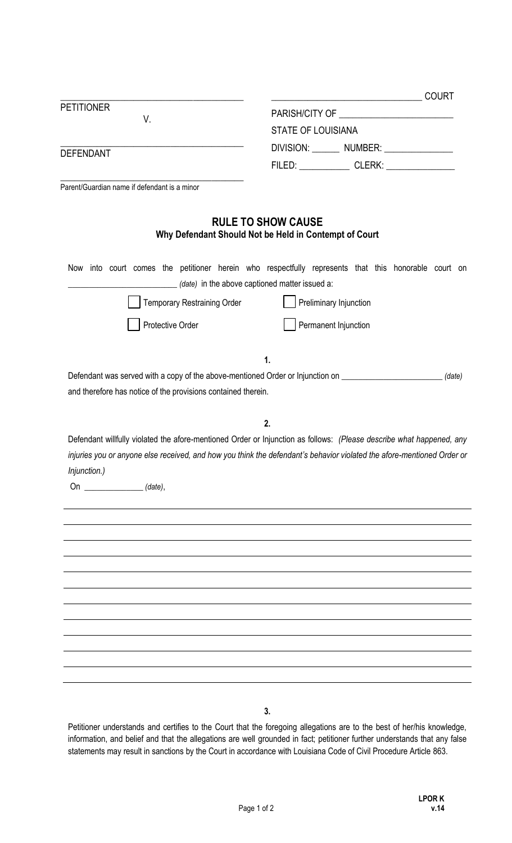|                                                               | <b>COURT</b><br><u> 1989 - Johann John Stein, fransk politik (f. 1918)</u>                                             |
|---------------------------------------------------------------|------------------------------------------------------------------------------------------------------------------------|
| <b>PETITIONER</b>                                             |                                                                                                                        |
| V.                                                            | <b>STATE OF LOUISIANA</b>                                                                                              |
|                                                               | DIVISION: _______ NUMBER: ______________                                                                               |
| <b>DEFENDANT</b>                                              | FILED: ______________ CLERK: _______________                                                                           |
| Parent/Guardian name if defendant is a minor                  |                                                                                                                        |
|                                                               |                                                                                                                        |
|                                                               | <b>RULE TO SHOW CAUSE</b><br>Why Defendant Should Not be Held in Contempt of Court                                     |
|                                                               | Now into court comes the petitioner herein who respectfully represents that this honorable court on                    |
|                                                               | (date) in the above captioned matter issued a:                                                                         |
| <b>Temporary Restraining Order</b>                            | Preliminary Injunction                                                                                                 |
| Protective Order                                              | Permanent Injunction                                                                                                   |
|                                                               |                                                                                                                        |
|                                                               | 1.                                                                                                                     |
|                                                               | Defendant was served with a copy of the above-mentioned Order or Injunction on <b>Communisty Containst</b> (date)      |
| and therefore has notice of the provisions contained therein. |                                                                                                                        |
|                                                               | 2.                                                                                                                     |
|                                                               | Defendant willfully violated the afore-mentioned Order or Injunction as follows: (Please describe what happened, any   |
|                                                               | injuries you or anyone else received, and how you think the defendant's behavior violated the afore-mentioned Order or |
| Injunction.)                                                  |                                                                                                                        |
| On ________________(date),                                    |                                                                                                                        |
|                                                               |                                                                                                                        |
|                                                               |                                                                                                                        |
|                                                               |                                                                                                                        |
|                                                               |                                                                                                                        |
|                                                               |                                                                                                                        |
|                                                               |                                                                                                                        |
|                                                               |                                                                                                                        |
|                                                               |                                                                                                                        |
|                                                               |                                                                                                                        |
|                                                               |                                                                                                                        |
|                                                               |                                                                                                                        |
|                                                               |                                                                                                                        |
|                                                               | 3.                                                                                                                     |

Petitioner understands and certifies to the Court that the foregoing allegations are to the best of her/his knowledge, information, and belief and that the allegations are well grounded in fact; petitioner further understands that any false statements may result in sanctions by the Court in accordance with Louisiana Code of Civil Procedure Article 863.